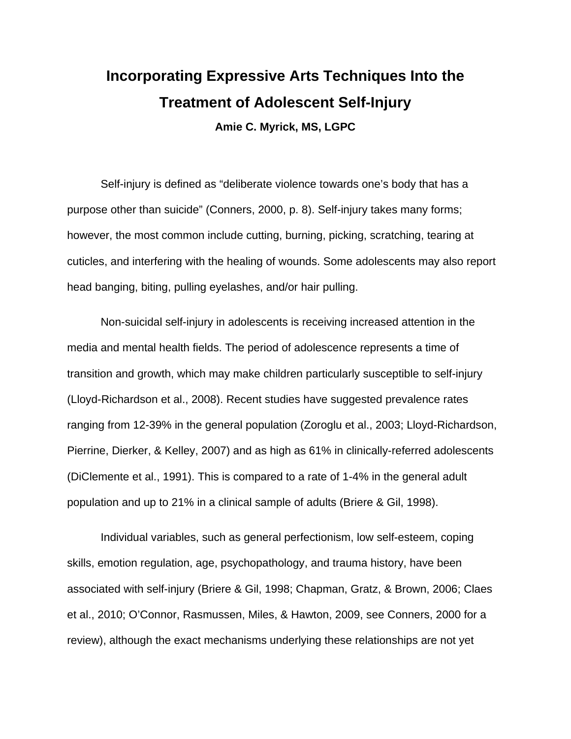# **Incorporating Expressive Arts Techniques Into the Treatment of Adolescent Self-Injury Amie C. Myrick, MS, LGPC**

Self-injury is defined as "deliberate violence towards one's body that has a purpose other than suicide" (Conners, 2000, p. 8). Self-injury takes many forms; however, the most common include cutting, burning, picking, scratching, tearing at cuticles, and interfering with the healing of wounds. Some adolescents may also report head banging, biting, pulling eyelashes, and/or hair pulling.

Non-suicidal self-injury in adolescents is receiving increased attention in the media and mental health fields. The period of adolescence represents a time of transition and growth, which may make children particularly susceptible to self-injury (Lloyd-Richardson et al., 2008). Recent studies have suggested prevalence rates ranging from 12-39% in the general population (Zoroglu et al., 2003; Lloyd-Richardson, Pierrine, Dierker, & Kelley, 2007) and as high as 61% in clinically-referred adolescents (DiClemente et al., 1991). This is compared to a rate of 1-4% in the general adult population and up to 21% in a clinical sample of adults (Briere & Gil, 1998).

 Individual variables, such as general perfectionism, low self-esteem, coping skills, emotion regulation, age, psychopathology, and trauma history, have been associated with self-injury (Briere & Gil, 1998; Chapman, Gratz, & Brown, 2006; Claes et al., 2010; O'Connor, Rasmussen, Miles, & Hawton, 2009, see Conners, 2000 for a review), although the exact mechanisms underlying these relationships are not yet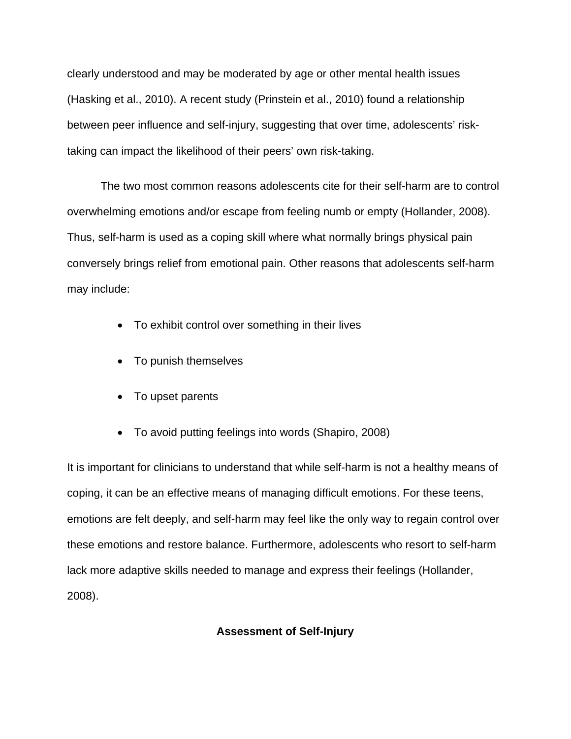clearly understood and may be moderated by age or other mental health issues (Hasking et al., 2010). A recent study (Prinstein et al., 2010) found a relationship between peer influence and self-injury, suggesting that over time, adolescents' risktaking can impact the likelihood of their peers' own risk-taking.

The two most common reasons adolescents cite for their self-harm are to control overwhelming emotions and/or escape from feeling numb or empty (Hollander, 2008). Thus, self-harm is used as a coping skill where what normally brings physical pain conversely brings relief from emotional pain. Other reasons that adolescents self-harm may include:

- To exhibit control over something in their lives
- To punish themselves
- To upset parents
- To avoid putting feelings into words (Shapiro, 2008)

It is important for clinicians to understand that while self-harm is not a healthy means of coping, it can be an effective means of managing difficult emotions. For these teens, emotions are felt deeply, and self-harm may feel like the only way to regain control over these emotions and restore balance. Furthermore, adolescents who resort to self-harm lack more adaptive skills needed to manage and express their feelings (Hollander, 2008).

# **Assessment of Self-Injury**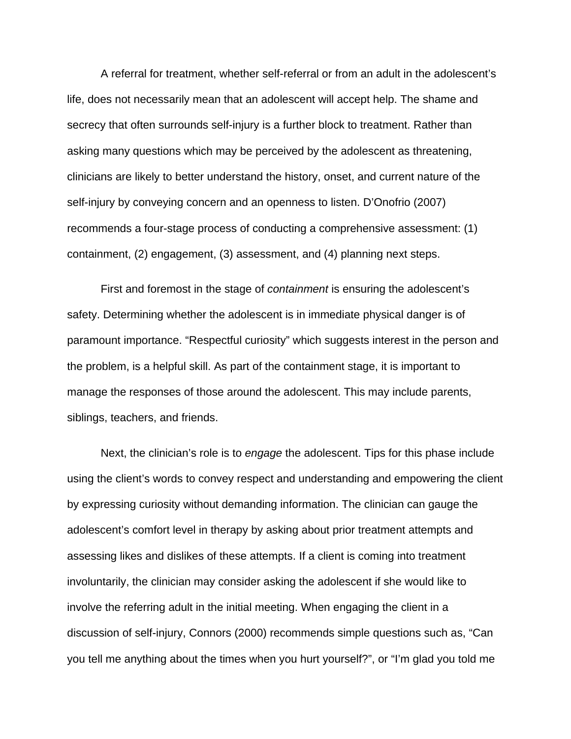A referral for treatment, whether self-referral or from an adult in the adolescent's life, does not necessarily mean that an adolescent will accept help. The shame and secrecy that often surrounds self-injury is a further block to treatment. Rather than asking many questions which may be perceived by the adolescent as threatening, clinicians are likely to better understand the history, onset, and current nature of the self-injury by conveying concern and an openness to listen. D'Onofrio (2007) recommends a four-stage process of conducting a comprehensive assessment: (1) containment, (2) engagement, (3) assessment, and (4) planning next steps.

 First and foremost in the stage of *containment* is ensuring the adolescent's safety. Determining whether the adolescent is in immediate physical danger is of paramount importance. "Respectful curiosity" which suggests interest in the person and the problem, is a helpful skill. As part of the containment stage, it is important to manage the responses of those around the adolescent. This may include parents, siblings, teachers, and friends.

Next, the clinician's role is to *engage* the adolescent. Tips for this phase include using the client's words to convey respect and understanding and empowering the client by expressing curiosity without demanding information. The clinician can gauge the adolescent's comfort level in therapy by asking about prior treatment attempts and assessing likes and dislikes of these attempts. If a client is coming into treatment involuntarily, the clinician may consider asking the adolescent if she would like to involve the referring adult in the initial meeting. When engaging the client in a discussion of self-injury, Connors (2000) recommends simple questions such as, "Can you tell me anything about the times when you hurt yourself?", or "I'm glad you told me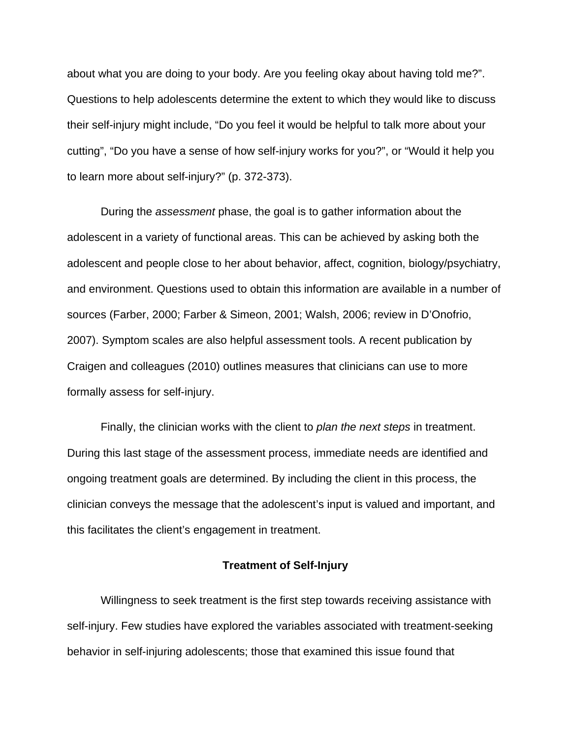about what you are doing to your body. Are you feeling okay about having told me?". Questions to help adolescents determine the extent to which they would like to discuss their self-injury might include, "Do you feel it would be helpful to talk more about your cutting", "Do you have a sense of how self-injury works for you?", or "Would it help you to learn more about self-injury?" (p. 372-373).

During the *assessment* phase, the goal is to gather information about the adolescent in a variety of functional areas. This can be achieved by asking both the adolescent and people close to her about behavior, affect, cognition, biology/psychiatry, and environment. Questions used to obtain this information are available in a number of sources (Farber, 2000; Farber & Simeon, 2001; Walsh, 2006; review in D'Onofrio, 2007). Symptom scales are also helpful assessment tools. A recent publication by Craigen and colleagues (2010) outlines measures that clinicians can use to more formally assess for self-injury.

Finally, the clinician works with the client to *plan the next steps* in treatment. During this last stage of the assessment process, immediate needs are identified and ongoing treatment goals are determined. By including the client in this process, the clinician conveys the message that the adolescent's input is valued and important, and this facilitates the client's engagement in treatment.

## **Treatment of Self-Injury**

Willingness to seek treatment is the first step towards receiving assistance with self-injury. Few studies have explored the variables associated with treatment-seeking behavior in self-injuring adolescents; those that examined this issue found that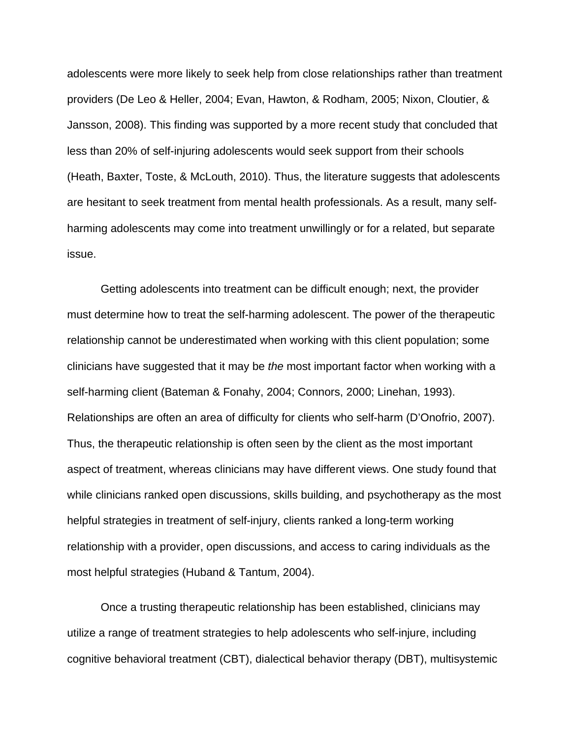adolescents were more likely to seek help from close relationships rather than treatment providers (De Leo & Heller, 2004; Evan, Hawton, & Rodham, 2005; Nixon, Cloutier, & Jansson, 2008). This finding was supported by a more recent study that concluded that less than 20% of self-injuring adolescents would seek support from their schools (Heath, Baxter, Toste, & McLouth, 2010). Thus, the literature suggests that adolescents are hesitant to seek treatment from mental health professionals. As a result, many selfharming adolescents may come into treatment unwillingly or for a related, but separate issue.

Getting adolescents into treatment can be difficult enough; next, the provider must determine how to treat the self-harming adolescent. The power of the therapeutic relationship cannot be underestimated when working with this client population; some clinicians have suggested that it may be *the* most important factor when working with a self-harming client (Bateman & Fonahy, 2004; Connors, 2000; Linehan, 1993). Relationships are often an area of difficulty for clients who self-harm (D'Onofrio, 2007). Thus, the therapeutic relationship is often seen by the client as the most important aspect of treatment, whereas clinicians may have different views. One study found that while clinicians ranked open discussions, skills building, and psychotherapy as the most helpful strategies in treatment of self-injury, clients ranked a long-term working relationship with a provider, open discussions, and access to caring individuals as the most helpful strategies (Huband & Tantum, 2004).

Once a trusting therapeutic relationship has been established, clinicians may utilize a range of treatment strategies to help adolescents who self-injure, including cognitive behavioral treatment (CBT), dialectical behavior therapy (DBT), multisystemic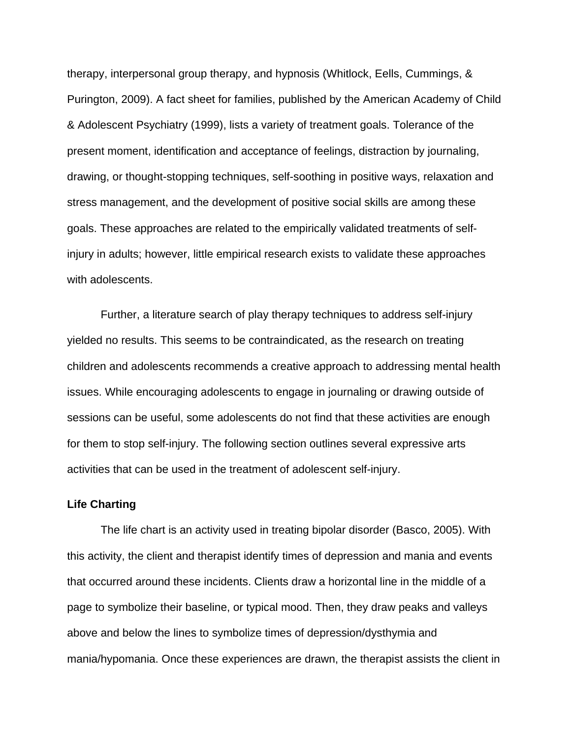therapy, interpersonal group therapy, and hypnosis (Whitlock, Eells, Cummings, & Purington, 2009). A fact sheet for families, published by the American Academy of Child & Adolescent Psychiatry (1999), lists a variety of treatment goals. Tolerance of the present moment, identification and acceptance of feelings, distraction by journaling, drawing, or thought-stopping techniques, self-soothing in positive ways, relaxation and stress management, and the development of positive social skills are among these goals. These approaches are related to the empirically validated treatments of selfinjury in adults; however, little empirical research exists to validate these approaches with adolescents.

Further, a literature search of play therapy techniques to address self-injury yielded no results. This seems to be contraindicated, as the research on treating children and adolescents recommends a creative approach to addressing mental health issues. While encouraging adolescents to engage in journaling or drawing outside of sessions can be useful, some adolescents do not find that these activities are enough for them to stop self-injury. The following section outlines several expressive arts activities that can be used in the treatment of adolescent self-injury.

## **Life Charting**

The life chart is an activity used in treating bipolar disorder (Basco, 2005). With this activity, the client and therapist identify times of depression and mania and events that occurred around these incidents. Clients draw a horizontal line in the middle of a page to symbolize their baseline, or typical mood. Then, they draw peaks and valleys above and below the lines to symbolize times of depression/dysthymia and mania/hypomania. Once these experiences are drawn, the therapist assists the client in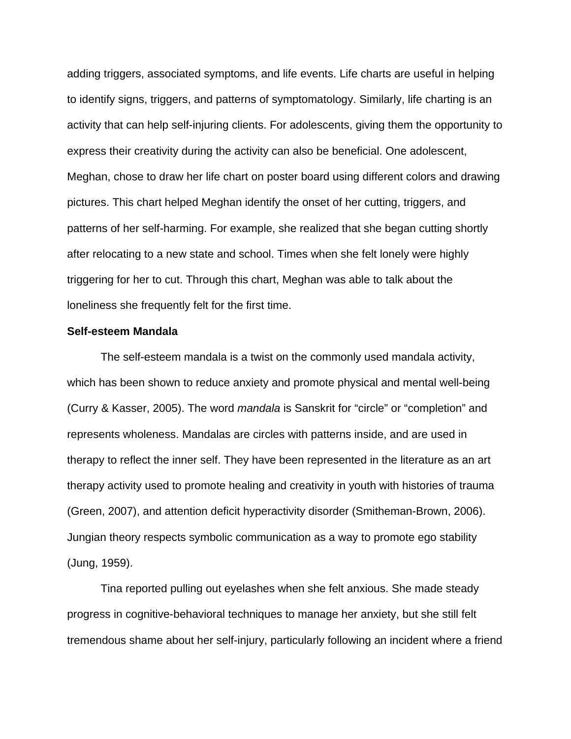adding triggers, associated symptoms, and life events. Life charts are useful in helping to identify signs, triggers, and patterns of symptomatology. Similarly, life charting is an activity that can help self-injuring clients. For adolescents, giving them the opportunity to express their creativity during the activity can also be beneficial. One adolescent, Meghan, chose to draw her life chart on poster board using different colors and drawing pictures. This chart helped Meghan identify the onset of her cutting, triggers, and patterns of her self-harming. For example, she realized that she began cutting shortly after relocating to a new state and school. Times when she felt lonely were highly triggering for her to cut. Through this chart, Meghan was able to talk about the loneliness she frequently felt for the first time.

#### **Self-esteem Mandala**

The self-esteem mandala is a twist on the commonly used mandala activity, which has been shown to reduce anxiety and promote physical and mental well-being (Curry & Kasser, 2005). The word *mandala* is Sanskrit for "circle" or "completion" and represents wholeness. Mandalas are circles with patterns inside, and are used in therapy to reflect the inner self. They have been represented in the literature as an art therapy activity used to promote healing and creativity in youth with histories of trauma (Green, 2007), and attention deficit hyperactivity disorder (Smitheman-Brown, 2006). Jungian theory respects symbolic communication as a way to promote ego stability (Jung, 1959).

Tina reported pulling out eyelashes when she felt anxious. She made steady progress in cognitive-behavioral techniques to manage her anxiety, but she still felt tremendous shame about her self-injury, particularly following an incident where a friend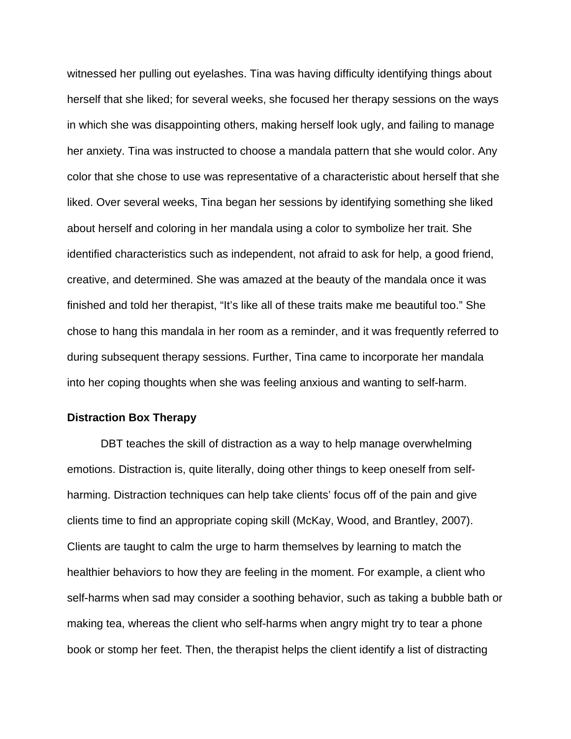witnessed her pulling out eyelashes. Tina was having difficulty identifying things about herself that she liked; for several weeks, she focused her therapy sessions on the ways in which she was disappointing others, making herself look ugly, and failing to manage her anxiety. Tina was instructed to choose a mandala pattern that she would color. Any color that she chose to use was representative of a characteristic about herself that she liked. Over several weeks, Tina began her sessions by identifying something she liked about herself and coloring in her mandala using a color to symbolize her trait. She identified characteristics such as independent, not afraid to ask for help, a good friend, creative, and determined. She was amazed at the beauty of the mandala once it was finished and told her therapist, "It's like all of these traits make me beautiful too." She chose to hang this mandala in her room as a reminder, and it was frequently referred to during subsequent therapy sessions. Further, Tina came to incorporate her mandala into her coping thoughts when she was feeling anxious and wanting to self-harm.

## **Distraction Box Therapy**

DBT teaches the skill of distraction as a way to help manage overwhelming emotions. Distraction is, quite literally, doing other things to keep oneself from selfharming. Distraction techniques can help take clients' focus off of the pain and give clients time to find an appropriate coping skill (McKay, Wood, and Brantley, 2007). Clients are taught to calm the urge to harm themselves by learning to match the healthier behaviors to how they are feeling in the moment. For example, a client who self-harms when sad may consider a soothing behavior, such as taking a bubble bath or making tea, whereas the client who self-harms when angry might try to tear a phone book or stomp her feet. Then, the therapist helps the client identify a list of distracting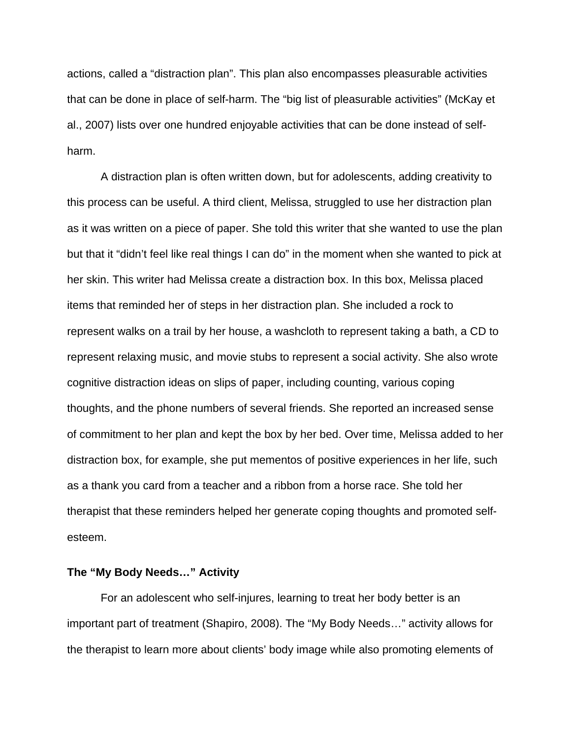actions, called a "distraction plan". This plan also encompasses pleasurable activities that can be done in place of self-harm. The "big list of pleasurable activities" (McKay et al., 2007) lists over one hundred enjoyable activities that can be done instead of selfharm.

A distraction plan is often written down, but for adolescents, adding creativity to this process can be useful. A third client, Melissa, struggled to use her distraction plan as it was written on a piece of paper. She told this writer that she wanted to use the plan but that it "didn't feel like real things I can do" in the moment when she wanted to pick at her skin. This writer had Melissa create a distraction box. In this box, Melissa placed items that reminded her of steps in her distraction plan. She included a rock to represent walks on a trail by her house, a washcloth to represent taking a bath, a CD to represent relaxing music, and movie stubs to represent a social activity. She also wrote cognitive distraction ideas on slips of paper, including counting, various coping thoughts, and the phone numbers of several friends. She reported an increased sense of commitment to her plan and kept the box by her bed. Over time, Melissa added to her distraction box, for example, she put mementos of positive experiences in her life, such as a thank you card from a teacher and a ribbon from a horse race. She told her therapist that these reminders helped her generate coping thoughts and promoted selfesteem.

#### **The "My Body Needs…" Activity**

For an adolescent who self-injures, learning to treat her body better is an important part of treatment (Shapiro, 2008). The "My Body Needs…" activity allows for the therapist to learn more about clients' body image while also promoting elements of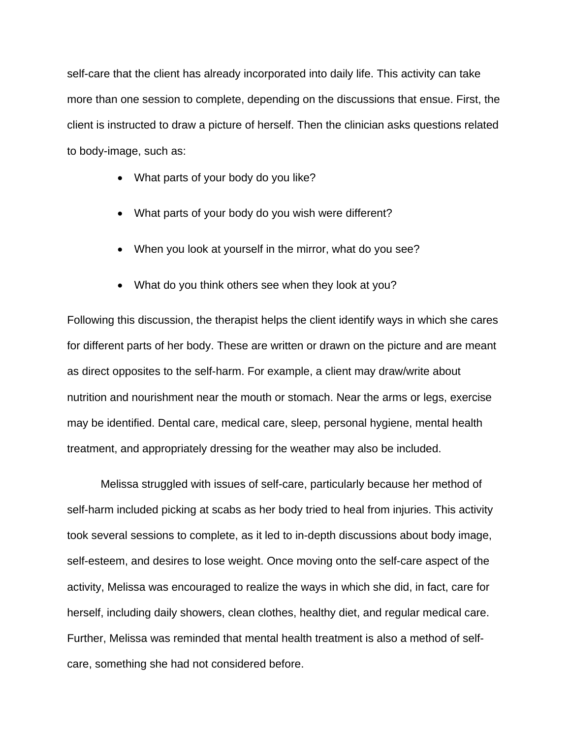self-care that the client has already incorporated into daily life. This activity can take more than one session to complete, depending on the discussions that ensue. First, the client is instructed to draw a picture of herself. Then the clinician asks questions related to body-image, such as:

- What parts of your body do you like?
- What parts of your body do you wish were different?
- When you look at yourself in the mirror, what do you see?
- What do you think others see when they look at you?

Following this discussion, the therapist helps the client identify ways in which she cares for different parts of her body. These are written or drawn on the picture and are meant as direct opposites to the self-harm. For example, a client may draw/write about nutrition and nourishment near the mouth or stomach. Near the arms or legs, exercise may be identified. Dental care, medical care, sleep, personal hygiene, mental health treatment, and appropriately dressing for the weather may also be included.

Melissa struggled with issues of self-care, particularly because her method of self-harm included picking at scabs as her body tried to heal from injuries. This activity took several sessions to complete, as it led to in-depth discussions about body image, self-esteem, and desires to lose weight. Once moving onto the self-care aspect of the activity, Melissa was encouraged to realize the ways in which she did, in fact, care for herself, including daily showers, clean clothes, healthy diet, and regular medical care. Further, Melissa was reminded that mental health treatment is also a method of selfcare, something she had not considered before.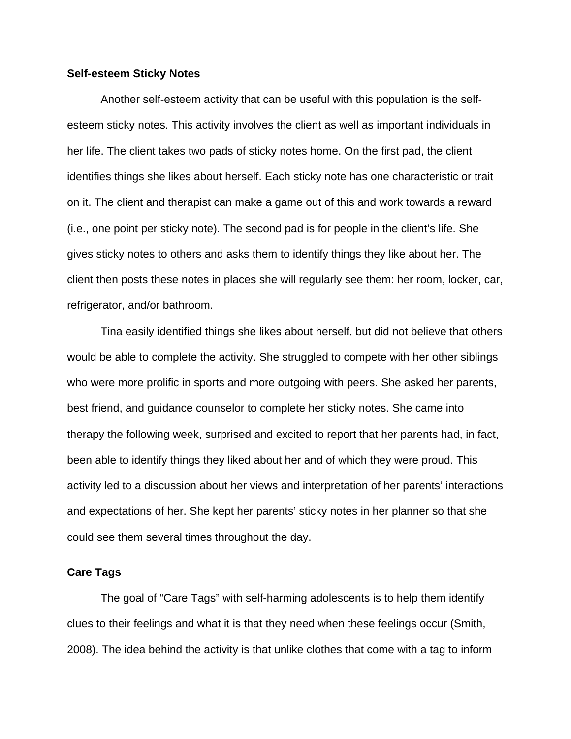#### **Self-esteem Sticky Notes**

Another self-esteem activity that can be useful with this population is the selfesteem sticky notes. This activity involves the client as well as important individuals in her life. The client takes two pads of sticky notes home. On the first pad, the client identifies things she likes about herself. Each sticky note has one characteristic or trait on it. The client and therapist can make a game out of this and work towards a reward (i.e., one point per sticky note). The second pad is for people in the client's life. She gives sticky notes to others and asks them to identify things they like about her. The client then posts these notes in places she will regularly see them: her room, locker, car, refrigerator, and/or bathroom.

Tina easily identified things she likes about herself, but did not believe that others would be able to complete the activity. She struggled to compete with her other siblings who were more prolific in sports and more outgoing with peers. She asked her parents, best friend, and guidance counselor to complete her sticky notes. She came into therapy the following week, surprised and excited to report that her parents had, in fact, been able to identify things they liked about her and of which they were proud. This activity led to a discussion about her views and interpretation of her parents' interactions and expectations of her. She kept her parents' sticky notes in her planner so that she could see them several times throughout the day.

#### **Care Tags**

The goal of "Care Tags" with self-harming adolescents is to help them identify clues to their feelings and what it is that they need when these feelings occur (Smith, 2008). The idea behind the activity is that unlike clothes that come with a tag to inform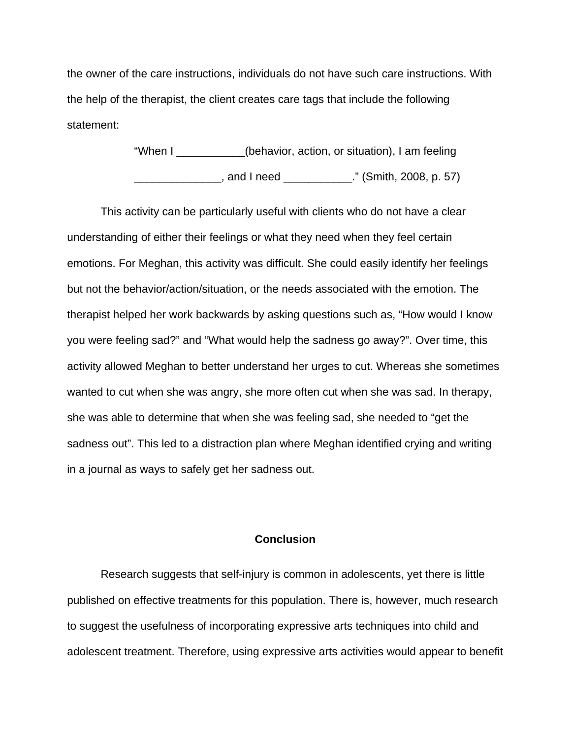the owner of the care instructions, individuals do not have such care instructions. With the help of the therapist, the client creates care tags that include the following statement:

> "When I \_\_\_\_\_\_\_\_\_\_\_(behavior, action, or situation), I am feeling \_\_\_\_\_\_\_\_\_\_\_\_\_\_, and I need \_\_\_\_\_\_\_\_\_\_\_." (Smith, 2008, p. 57)

This activity can be particularly useful with clients who do not have a clear understanding of either their feelings or what they need when they feel certain emotions. For Meghan, this activity was difficult. She could easily identify her feelings but not the behavior/action/situation, or the needs associated with the emotion. The therapist helped her work backwards by asking questions such as, "How would I know you were feeling sad?" and "What would help the sadness go away?". Over time, this activity allowed Meghan to better understand her urges to cut. Whereas she sometimes wanted to cut when she was angry, she more often cut when she was sad. In therapy, she was able to determine that when she was feeling sad, she needed to "get the sadness out". This led to a distraction plan where Meghan identified crying and writing in a journal as ways to safely get her sadness out.

# **Conclusion**

Research suggests that self-injury is common in adolescents, yet there is little published on effective treatments for this population. There is, however, much research to suggest the usefulness of incorporating expressive arts techniques into child and adolescent treatment. Therefore, using expressive arts activities would appear to benefit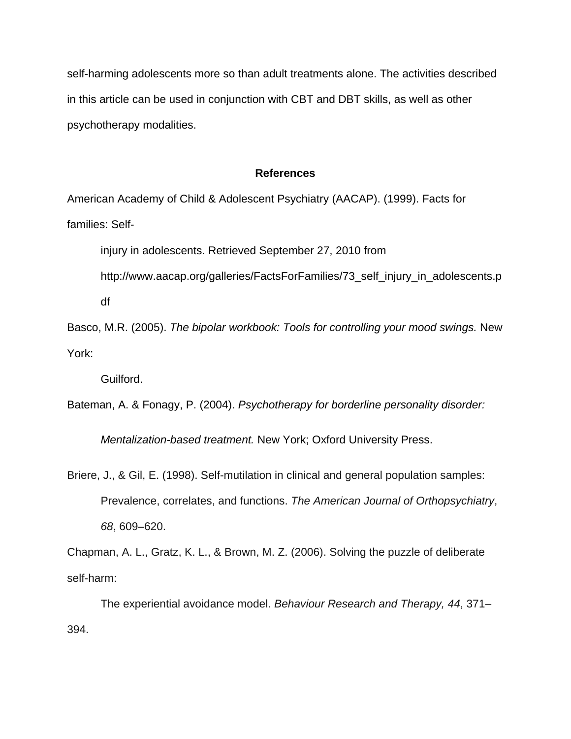self-harming adolescents more so than adult treatments alone. The activities described in this article can be used in conjunction with CBT and DBT skills, as well as other psychotherapy modalities.

#### **References**

American Academy of Child & Adolescent Psychiatry (AACAP). (1999). Facts for families: Self-

injury in adolescents. Retrieved September 27, 2010 from

http://www.aacap.org/galleries/FactsForFamilies/73\_self\_injury\_in\_adolescents.p df

Basco, M.R. (2005). *The bipolar workbook: Tools for controlling your mood swings.* New York:

Guilford.

Bateman, A. & Fonagy, P. (2004). *Psychotherapy for borderline personality disorder:* 

*Mentalization-based treatment.* New York; Oxford University Press.

Briere, J., & Gil, E. (1998). Self-mutilation in clinical and general population samples: Prevalence, correlates, and functions. *The American Journal of Orthopsychiatry*, *68*, 609–620.

Chapman, A. L., Gratz, K. L., & Brown, M. Z. (2006). Solving the puzzle of deliberate self-harm:

The experiential avoidance model. *Behaviour Research and Therapy, 44*, 371– 394.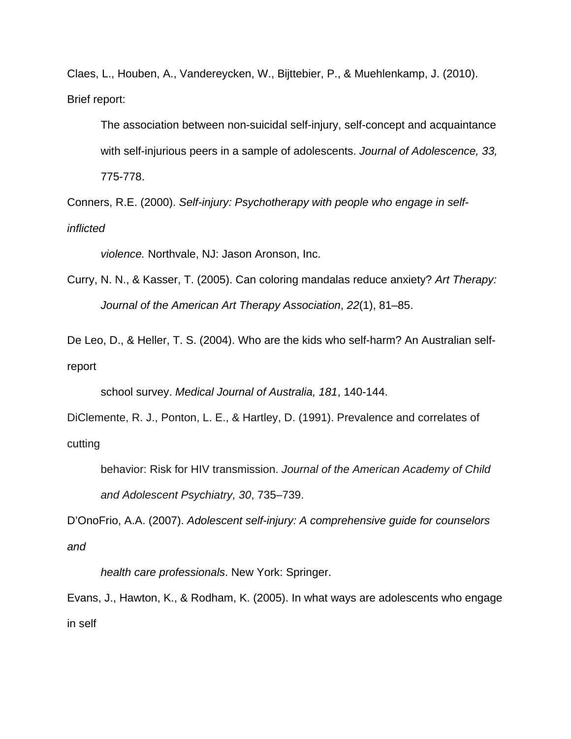Claes, L., Houben, A., Vandereycken, W., Bijttebier, P., & Muehlenkamp, J. (2010). Brief report:

The association between non-suicidal self-injury, self-concept and acquaintance with self-injurious peers in a sample of adolescents. *Journal of Adolescence, 33,*  775-778.

Conners, R.E. (2000). *Self-injury: Psychotherapy with people who engage in selfinflicted* 

*violence.* Northvale, NJ: Jason Aronson, Inc.

Curry, N. N., & Kasser, T. (2005). Can coloring mandalas reduce anxiety? *Art Therapy: Journal of the American Art Therapy Association*, *22*(1), 81–85.

De Leo, D., & Heller, T. S. (2004). Who are the kids who self-harm? An Australian selfreport

school survey. *Medical Journal of Australia, 181*, 140-144.

DiClemente, R. J., Ponton, L. E., & Hartley, D. (1991). Prevalence and correlates of cutting

```
behavior: Risk for HIV transmission. Journal of the American Academy of Child 
and Adolescent Psychiatry, 30, 735–739.
```
D'OnoFrio, A.A. (2007). *Adolescent self-injury: A comprehensive guide for counselors and* 

*health care professionals*. New York: Springer.

Evans, J., Hawton, K., & Rodham, K. (2005). In what ways are adolescents who engage in self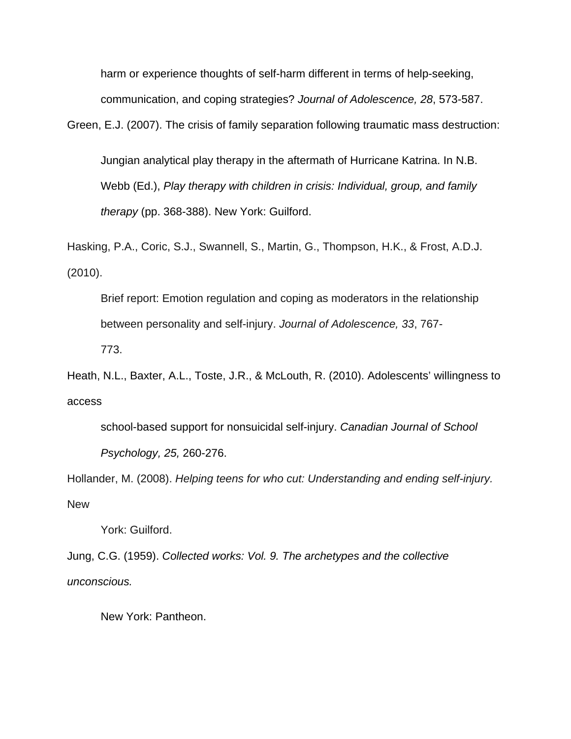harm or experience thoughts of self-harm different in terms of help-seeking, communication, and coping strategies? *Journal of Adolescence, 28*, 573-587.

Green, E.J. (2007). The crisis of family separation following traumatic mass destruction:

Jungian analytical play therapy in the aftermath of Hurricane Katrina. In N.B. Webb (Ed.), *Play therapy with children in crisis: Individual, group, and family therapy* (pp. 368-388). New York: Guilford.

Hasking, P.A., Coric, S.J., Swannell, S., Martin, G., Thompson, H.K., & Frost, A.D.J. (2010).

Brief report: Emotion regulation and coping as moderators in the relationship between personality and self-injury. *Journal of Adolescence, 33*, 767- 773.

Heath, N.L., Baxter, A.L., Toste, J.R., & McLouth, R. (2010). Adolescents' willingness to access

school-based support for nonsuicidal self-injury. *Canadian Journal of School Psychology, 25,* 260-276.

Hollander, M. (2008). *Helping teens for who cut: Understanding and ending self-injury.*  **New** 

York: Guilford.

Jung, C.G. (1959). *Collected works: Vol. 9. The archetypes and the collective unconscious.* 

New York: Pantheon.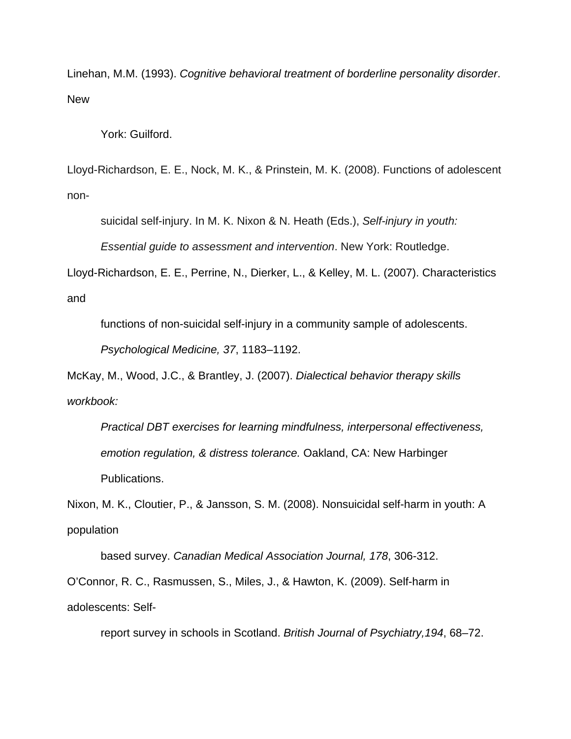Linehan, M.M. (1993). *Cognitive behavioral treatment of borderline personality disorder*. **New** 

York: Guilford.

Lloyd-Richardson, E. E., Nock, M. K., & Prinstein, M. K. (2008). Functions of adolescent non-

suicidal self-injury. In M. K. Nixon & N. Heath (Eds.), *Self-injury in youth:* 

*Essential guide to assessment and intervention*. New York: Routledge.

Lloyd-Richardson, E. E., Perrine, N., Dierker, L., & Kelley, M. L. (2007). Characteristics and

functions of non-suicidal self-injury in a community sample of adolescents.

*Psychological Medicine, 37*, 1183–1192.

McKay, M., Wood, J.C., & Brantley, J. (2007). *Dialectical behavior therapy skills workbook:* 

*Practical DBT exercises for learning mindfulness, interpersonal effectiveness, emotion regulation, & distress tolerance.* Oakland, CA: New Harbinger Publications.

Nixon, M. K., Cloutier, P., & Jansson, S. M. (2008). Nonsuicidal self-harm in youth: A population

based survey. *Canadian Medical Association Journal, 178*, 306-312. O'Connor, R. C., Rasmussen, S., Miles, J., & Hawton, K. (2009). Self-harm in adolescents: Self-

report survey in schools in Scotland. *British Journal of Psychiatry,194*, 68–72.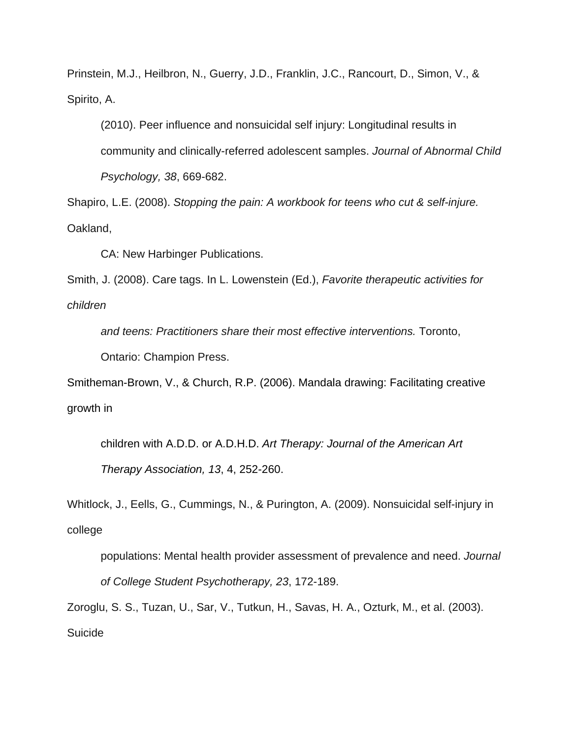Prinstein, M.J., Heilbron, N., Guerry, J.D., Franklin, J.C., Rancourt, D., Simon, V., & Spirito, A.

(2010). Peer influence and nonsuicidal self injury: Longitudinal results in community and clinically-referred adolescent samples. *Journal of Abnormal Child Psychology, 38*, 669-682.

Shapiro, L.E. (2008). *Stopping the pain: A workbook for teens who cut & self-injure.*  Oakland,

CA: New Harbinger Publications.

Smith, J. (2008). Care tags. In L. Lowenstein (Ed.), *Favorite therapeutic activities for children* 

*and teens: Practitioners share their most effective interventions.* Toronto,

Ontario: Champion Press.

Smitheman-Brown, V., & Church, R.P. (2006). Mandala drawing: Facilitating creative growth in

children with A.D.D. or A.D.H.D. *Art Therapy: Journal of the American Art Therapy Association, 13*, 4, 252-260.

Whitlock, J., Eells, G., Cummings, N., & Purington, A. (2009). Nonsuicidal self-injury in college

populations: Mental health provider assessment of prevalence and need. *Journal of College Student Psychotherapy, 23*, 172-189.

Zoroglu, S. S., Tuzan, U., Sar, V., Tutkun, H., Savas, H. A., Ozturk, M., et al. (2003). Suicide